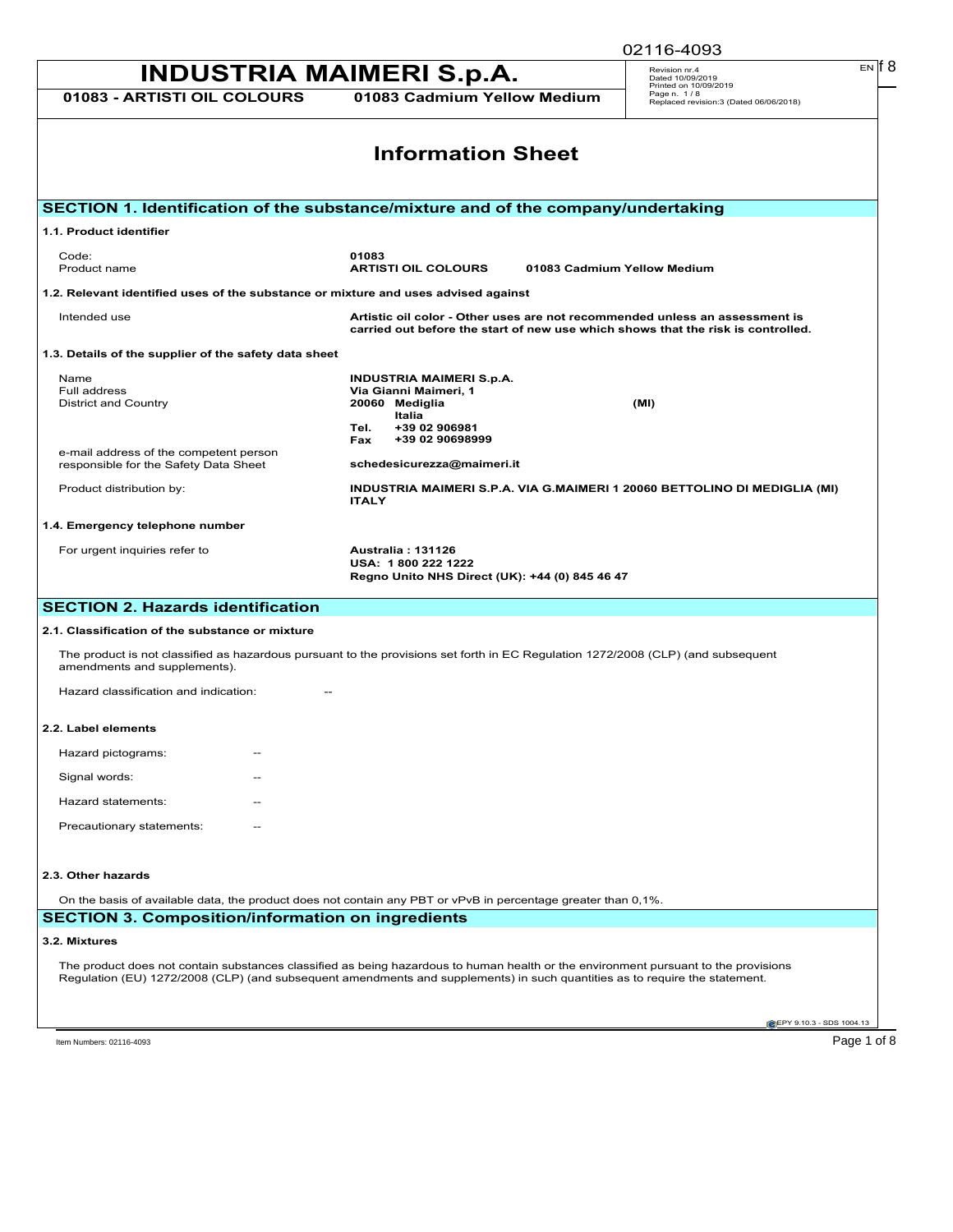|                                                                                                                                                                                                                                                                    | 02116-4093                                                               |
|--------------------------------------------------------------------------------------------------------------------------------------------------------------------------------------------------------------------------------------------------------------------|--------------------------------------------------------------------------|
| <b>INDUSTRIA MAIMERI S.p.A.</b>                                                                                                                                                                                                                                    | $EN$ $  8$<br>Revision nr.4<br>Dated 10/09/2019<br>Printed on 10/09/2019 |
| 01083 Cadmium Yellow Medium<br>01083 - ARTISTI OIL COLOURS                                                                                                                                                                                                         | Page n. 1/8<br>Replaced revision:3 (Dated 06/06/2018)                    |
| <b>Information Sheet</b>                                                                                                                                                                                                                                           |                                                                          |
| SECTION 1. Identification of the substance/mixture and of the company/undertaking                                                                                                                                                                                  |                                                                          |
| 1.1. Product identifier                                                                                                                                                                                                                                            |                                                                          |
| 01083<br>Code:<br>Product name<br><b>ARTISTI OIL COLOURS</b>                                                                                                                                                                                                       | 01083 Cadmium Yellow Medium                                              |
| 1.2. Relevant identified uses of the substance or mixture and uses advised against                                                                                                                                                                                 |                                                                          |
| Intended use<br>Artistic oil color - Other uses are not recommended unless an assessment is<br>carried out before the start of new use which shows that the risk is controlled.                                                                                    |                                                                          |
| 1.3. Details of the supplier of the safety data sheet                                                                                                                                                                                                              |                                                                          |
| <b>INDUSTRIA MAIMERI S.p.A.</b><br>Name<br>Via Gianni Maimeri, 1<br>Full address<br>20060 Mediglia<br><b>District and Country</b><br>Italia<br>+39 02 906981<br>Tel.                                                                                               | (MI)                                                                     |
| +39 02 90698999<br>Fax<br>e-mail address of the competent person<br>schedesicurezza@maimeri.it<br>responsible for the Safety Data Sheet                                                                                                                            |                                                                          |
| INDUSTRIA MAIMERI S.P.A. VIA G.MAIMERI 1 20060 BETTOLINO DI MEDIGLIA (MI)<br>Product distribution by:<br><b>ITALY</b>                                                                                                                                              |                                                                          |
| 1.4. Emergency telephone number                                                                                                                                                                                                                                    |                                                                          |
| For urgent inquiries refer to<br><b>Australia: 131126</b><br>USA: 1800 222 1222<br>Regno Unito NHS Direct (UK): +44 (0) 845 46 47                                                                                                                                  |                                                                          |
| <b>SECTION 2. Hazards identification</b>                                                                                                                                                                                                                           |                                                                          |
| 2.1. Classification of the substance or mixture                                                                                                                                                                                                                    |                                                                          |
| The product is not classified as hazardous pursuant to the provisions set forth in EC Regulation 1272/2008 (CLP) (and subsequent<br>amendments and supplements).                                                                                                   |                                                                          |
| Hazard classification and indication:                                                                                                                                                                                                                              |                                                                          |
| 2.2. Label elements                                                                                                                                                                                                                                                |                                                                          |
| Hazard pictograms:                                                                                                                                                                                                                                                 |                                                                          |
| Signal words:                                                                                                                                                                                                                                                      |                                                                          |
| Hazard statements:                                                                                                                                                                                                                                                 |                                                                          |
| Precautionary statements:                                                                                                                                                                                                                                          |                                                                          |
| 2.3. Other hazards                                                                                                                                                                                                                                                 |                                                                          |
| On the basis of available data, the product does not contain any PBT or vPvB in percentage greater than 0,1%.                                                                                                                                                      |                                                                          |
| <b>SECTION 3. Composition/information on ingredients</b>                                                                                                                                                                                                           |                                                                          |
| 3.2. Mixtures                                                                                                                                                                                                                                                      |                                                                          |
| The product does not contain substances classified as being hazardous to human health or the environment pursuant to the provisions<br>Regulation (EU) 1272/2008 (CLP) (and subsequent amendments and supplements) in such quantities as to require the statement. |                                                                          |
|                                                                                                                                                                                                                                                                    | EPY 9.10.3 - SDS 1004.13                                                 |
|                                                                                                                                                                                                                                                                    | Page 1 of 8                                                              |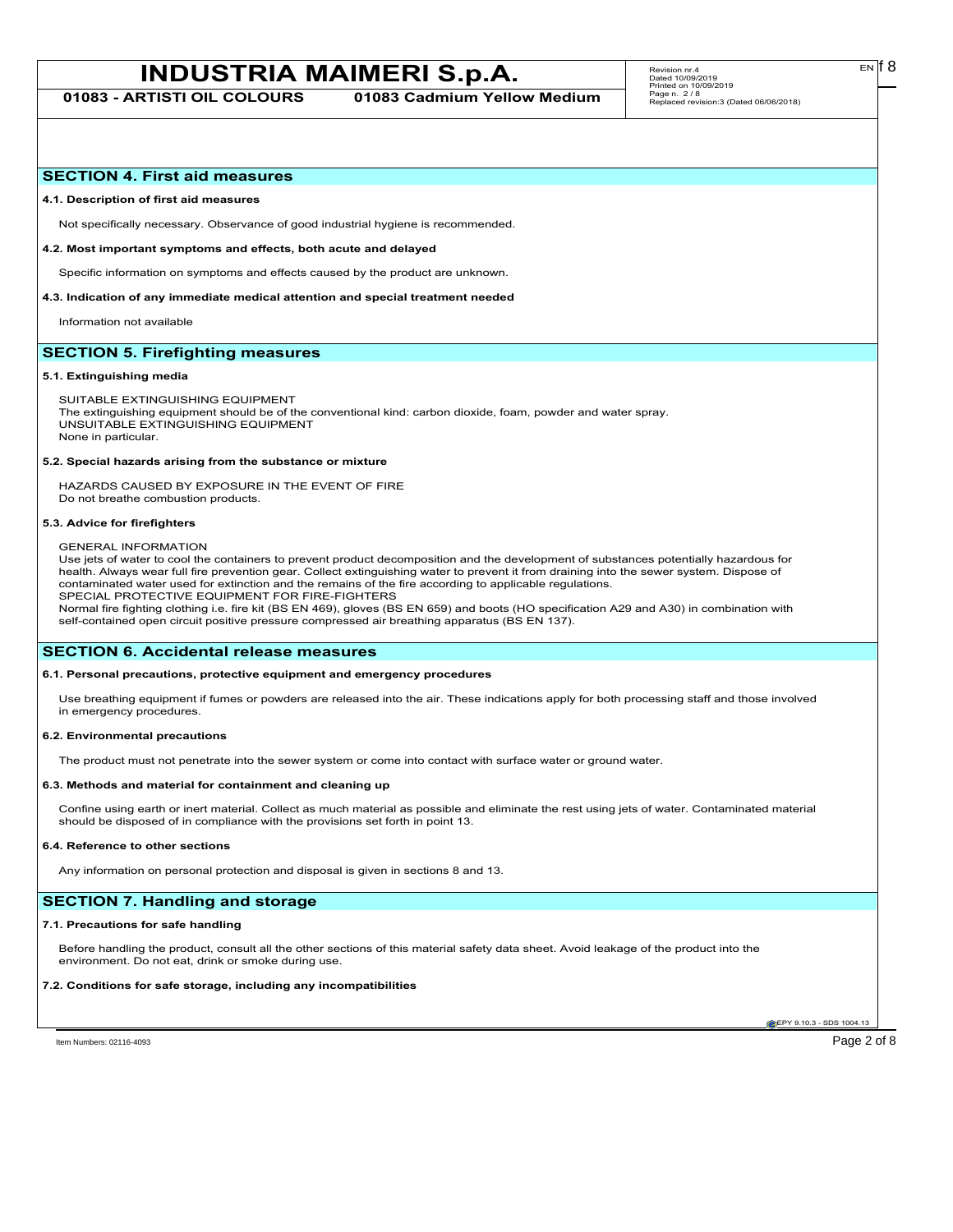# **INDUSTRIA MAIMERI S.p.A.** Revision m:4.<br>
Page 4 0109/2019

**01083 - ARTISTI OIL COLOURS 01083 Cadmium Yellow Medium**

## **SECTION 4. First aid measures**

#### **4.1. Description of first aid measures**

Not specifically necessary. Observance of good industrial hygiene is recommended.

#### **4.2. Most important symptoms and effects, both acute and delayed**

Specific information on symptoms and effects caused by the product are unknown.

#### **4.3. Indication of any immediate medical attention and special treatment needed**

Information not available

# **SECTION 5. Firefighting measures**

#### **5.1. Extinguishing media**

SUITABLE EXTINGUISHING EQUIPMENT The extinguishing equipment should be of the conventional kind: carbon dioxide, foam, powder and water spray. UNSUITABLE EXTINGUISHING EQUIPMENT None in particular.

#### **5.2. Special hazards arising from the substance or mixture**

HAZARDS CAUSED BY EXPOSURE IN THE EVENT OF FIRE Do not breathe combustion products.

#### **5.3. Advice for firefighters**

#### GENERAL INFORMATION

Use jets of water to cool the containers to prevent product decomposition and the development of substances potentially hazardous for health. Always wear full fire prevention gear. Collect extinguishing water to prevent it from draining into the sewer system. Dispose of contaminated water used for extinction and the remains of the fire according to applicable regulations. SPECIAL PROTECTIVE EQUIPMENT FOR FIRE-FIGHTERS

Normal fire fighting clothing i.e. fire kit (BS EN 469), gloves (BS EN 659) and boots (HO specification A29 and A30) in combination with self-contained open circuit positive pressure compressed air breathing apparatus (BS EN 137).

# **SECTION 6. Accidental release measures**

## **6.1. Personal precautions, protective equipment and emergency procedures**

Use breathing equipment if fumes or powders are released into the air. These indications apply for both processing staff and those involved in emergency procedures.

#### **6.2. Environmental precautions**

The product must not penetrate into the sewer system or come into contact with surface water or ground water.

#### **6.3. Methods and material for containment and cleaning up**

Confine using earth or inert material. Collect as much material as possible and eliminate the rest using jets of water. Contaminated material should be disposed of in compliance with the provisions set forth in point 13.

#### **6.4. Reference to other sections**

Any information on personal protection and disposal is given in sections 8 and 13.

# **SECTION 7. Handling and storage**

#### **7.1. Precautions for safe handling**

Before handling the product, consult all the other sections of this material safety data sheet. Avoid leakage of the product into the environment. Do not eat, drink or smoke during use.

### **7.2. Conditions for safe storage, including any incompatibilities**

**EPY 9.10.3 - SDS 1004.13** 

Item Numbers: 02116-4093 Page 2 of 8

EN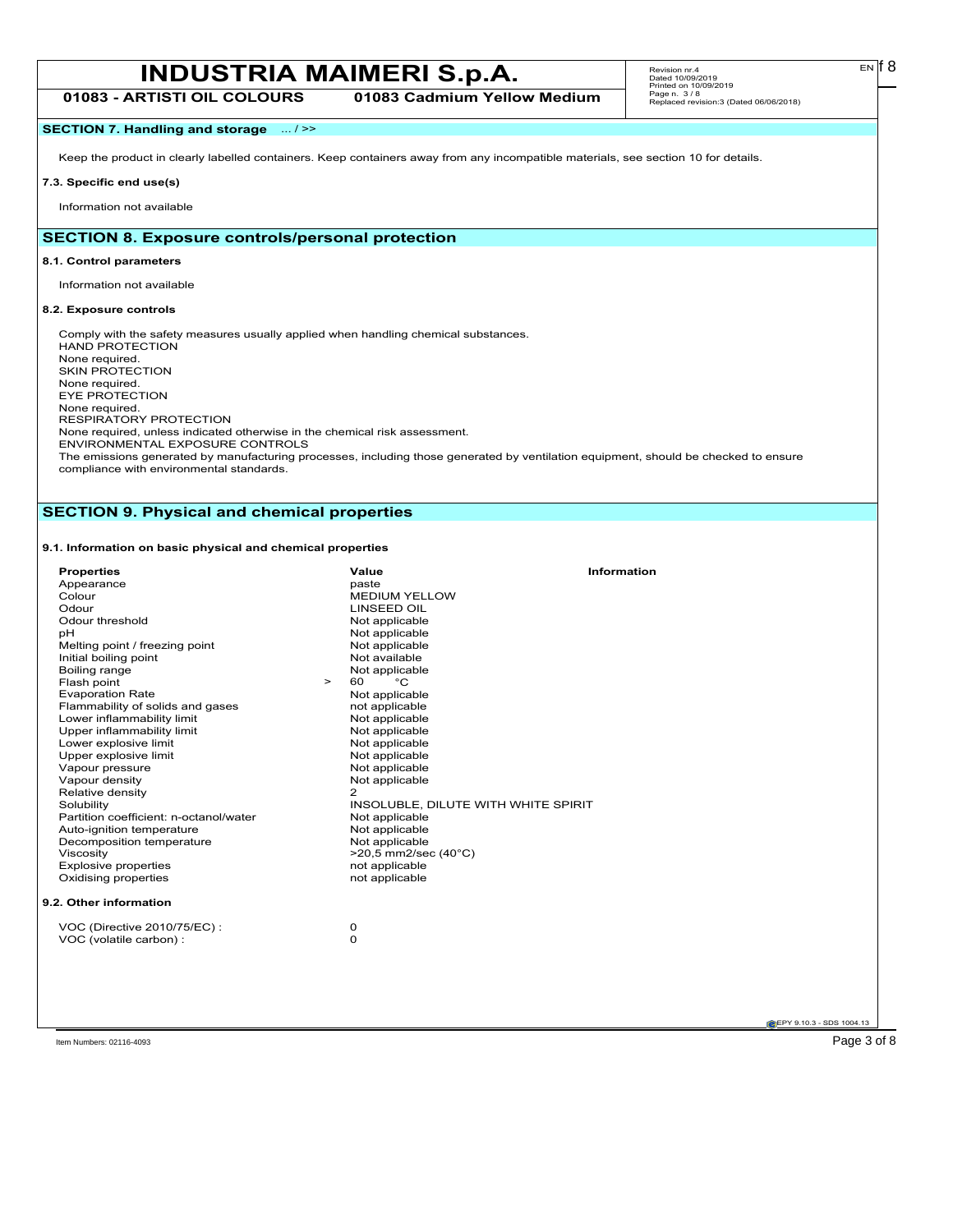# **INDUSTRIA MAIMERI S.p.A.** Revision m:4.<br> **INDUSTRIA MAIMERI S.p.A. EN**<sup>68</sup> **01083 - ARTISTI OIL COLOURS 01083 Cadmium Yellow Medium**

Revision nr.4 Dated 10/09/2019 Printed on 10/09/2019 Page n. 3 / 8 Replaced revision:3 (Dated 06/06/2018)

# **SECTION 7. Handling and storage** ... / >>

Keep the product in clearly labelled containers. Keep containers away from any incompatible materials, see section 10 for details.

#### **7.3. Specific end use(s)**

Information not available

# **SECTION 8. Exposure controls/personal protection**

#### **8.1. Control parameters**

Information not available

#### **8.2. Exposure controls**

Comply with the safety measures usually applied when handling chemical substances. HAND PROTECTION None required. SKIN PROTECTION None required. EYE PROTECTION None required. RESPIRATORY PROTECTION None required, unless indicated otherwise in the chemical risk assessment. ENVIRONMENTAL EXPOSURE CONTROLS The emissions generated by manufacturing processes, including those generated by ventilation equipment, should be checked to ensure

compliance with environmental standards.

# **SECTION 9. Physical and chemical properties**

## **9.1. Information on basic physical and chemical properties**

| Colour<br>Odour<br>рH<br>Solubility<br>Viscosity | <b>Properties</b><br>Appearance<br>Odour threshold<br>Melting point / freezing point<br>Initial boiling point<br>Boiling range<br>Flash point<br>$\geq$<br><b>Evaporation Rate</b><br>Flammability of solids and gases<br>Lower inflammability limit<br>Upper inflammability limit<br>Lower explosive limit<br>Upper explosive limit<br>Vapour pressure<br>Vapour density<br>Relative density<br>Partition coefficient: n-octanol/water<br>Auto-ignition temperature<br>Decomposition temperature | Value<br>paste<br><b>MEDIUM YELLOW</b><br><b>LINSEED OIL</b><br>Not applicable<br>Not applicable<br>Not applicable<br>Not available<br>Not applicable<br>°C<br>60<br>Not applicable<br>not applicable<br>Not applicable<br>Not applicable<br>Not applicable<br>Not applicable<br>Not applicable<br>Not applicable<br>2<br>INSOLUBLE, DILUTE WITH WHITE SPIRIT<br>Not applicable<br>Not applicable<br>Not applicable<br>>20,5 mm2/sec (40°C) | <b>Information</b> |
|--------------------------------------------------|---------------------------------------------------------------------------------------------------------------------------------------------------------------------------------------------------------------------------------------------------------------------------------------------------------------------------------------------------------------------------------------------------------------------------------------------------------------------------------------------------|---------------------------------------------------------------------------------------------------------------------------------------------------------------------------------------------------------------------------------------------------------------------------------------------------------------------------------------------------------------------------------------------------------------------------------------------|--------------------|
|                                                  | <b>Explosive properties</b><br>Oxidising properties                                                                                                                                                                                                                                                                                                                                                                                                                                               | not applicable<br>not applicable                                                                                                                                                                                                                                                                                                                                                                                                            |                    |
|                                                  | 9.2. Other information                                                                                                                                                                                                                                                                                                                                                                                                                                                                            |                                                                                                                                                                                                                                                                                                                                                                                                                                             |                    |
|                                                  | VOC (Directive 2010/75/EC):<br>VOC (volatile carbon) :                                                                                                                                                                                                                                                                                                                                                                                                                                            | 0<br>0                                                                                                                                                                                                                                                                                                                                                                                                                                      |                    |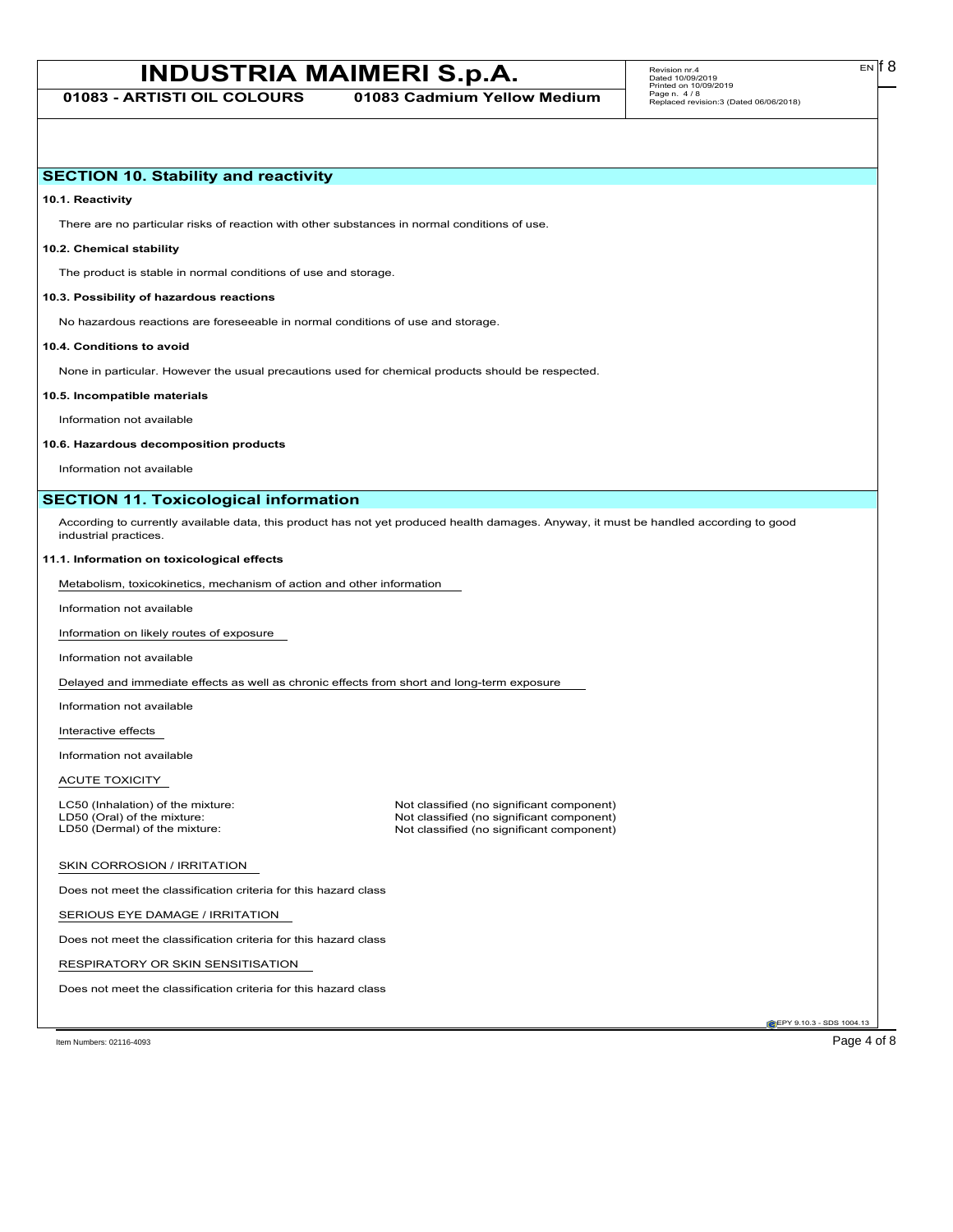# **INDUSTRIA MAIMERI S.p.A.** Revision m:4.<br>
Page 4 0009/2019

**01083 - ARTISTI OIL COLOURS 01083 Cadmium Yellow Medium**

EN

# **SECTION 10. Stability and reactivity**

**10.1. Reactivity**

There are no particular risks of reaction with other substances in normal conditions of use.

# **10.2. Chemical stability**

The product is stable in normal conditions of use and storage.

### **10.3. Possibility of hazardous reactions**

No hazardous reactions are foreseeable in normal conditions of use and storage.

#### **10.4. Conditions to avoid**

None in particular. However the usual precautions used for chemical products should be respected.

#### **10.5. Incompatible materials**

Information not available

#### **10.6. Hazardous decomposition products**

Information not available

# **SECTION 11. Toxicological information**

According to currently available data, this product has not yet produced health damages. Anyway, it must be handled according to good industrial practices.

#### **11.1. Information on toxicological effects**

Metabolism, toxicokinetics, mechanism of action and other information

Information not available

Information on likely routes of exposure

Information not available

Delayed and immediate effects as well as chronic effects from short and long-term exposure

Information not available

Interactive effects

Information not available

ACUTE TOXICITY

LC50 (Inhalation) of the mixture: Not classified (no significant component)<br>
LD50 (Oral) of the mixture: Not classified (no significant component) LD50 (Oral) of the mixture: Not classified (no significant component)<br>
LD50 (Dermal) of the mixture: Not classified (no significant component) Not classified (no significant component)

### SKIN CORROSION / IRRITATION

Does not meet the classification criteria for this hazard class

SERIOUS EYE DAMAGE / IRRITATION

Does not meet the classification criteria for this hazard class

RESPIRATORY OR SKIN SENSITISATION

Does not meet the classification criteria for this hazard class

EPY 9.10.3 - SDS 1004.13

Item Numbers: 02116-4093 Page 4 of 8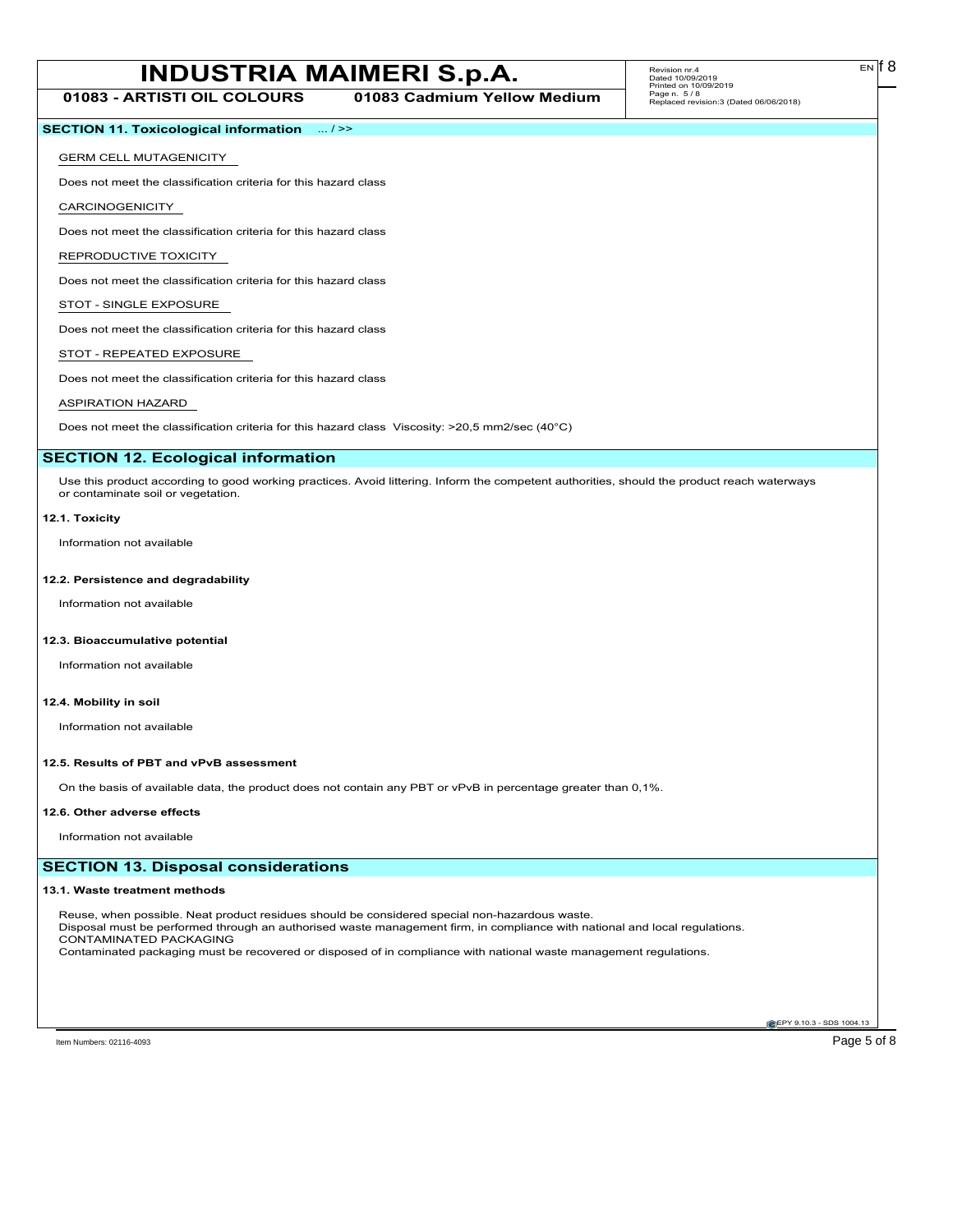# **INDUSTRIA MAIMERI S.p.A.** Revision m:4.<br> **INDUSTRIA MAIMERI S.p.A. EN**<sup>68</sup>

**01083 - ARTISTI OIL COLOURS 01083 Cadmium Yellow Medium**

# **SECTION 11. Toxicological information** ... / >>

#### GERM CELL MUTAGENICITY

Does not meet the classification criteria for this hazard class

CARCINOGENICITY

Does not meet the classification criteria for this hazard class

REPRODUCTIVE TOXICITY

Does not meet the classification criteria for this hazard class

# STOT - SINGLE EXPOSURE

Does not meet the classification criteria for this hazard class

## STOT - REPEATED EXPOSURE

Does not meet the classification criteria for this hazard class

# ASPIRATION HAZARD

Does not meet the classification criteria for this hazard class Viscosity: >20,5 mm2/sec (40°C)

## **SECTION 12. Ecological information**

Use this product according to good working practices. Avoid littering. Inform the competent authorities, should the product reach waterways or contaminate soil or vegetation.

#### **12.1. Toxicity**

Information not available

## **12.2. Persistence and degradability**

Information not available

### **12.3. Bioaccumulative potential**

Information not available

## **12.4. Mobility in soil**

Information not available

#### **12.5. Results of PBT and vPvB assessment**

On the basis of available data, the product does not contain any PBT or vPvB in percentage greater than 0,1%.

#### **12.6. Other adverse effects**

Information not available

# **SECTION 13. Disposal considerations**

#### **13.1. Waste treatment methods**

Reuse, when possible. Neat product residues should be considered special non-hazardous waste. Disposal must be performed through an authorised waste management firm, in compliance with national and local regulations. CONTAMINATED PACKAGING Contaminated packaging must be recovered or disposed of in compliance with national waste management regulations.

**EPY 9.10.3 - SDS 1004.13**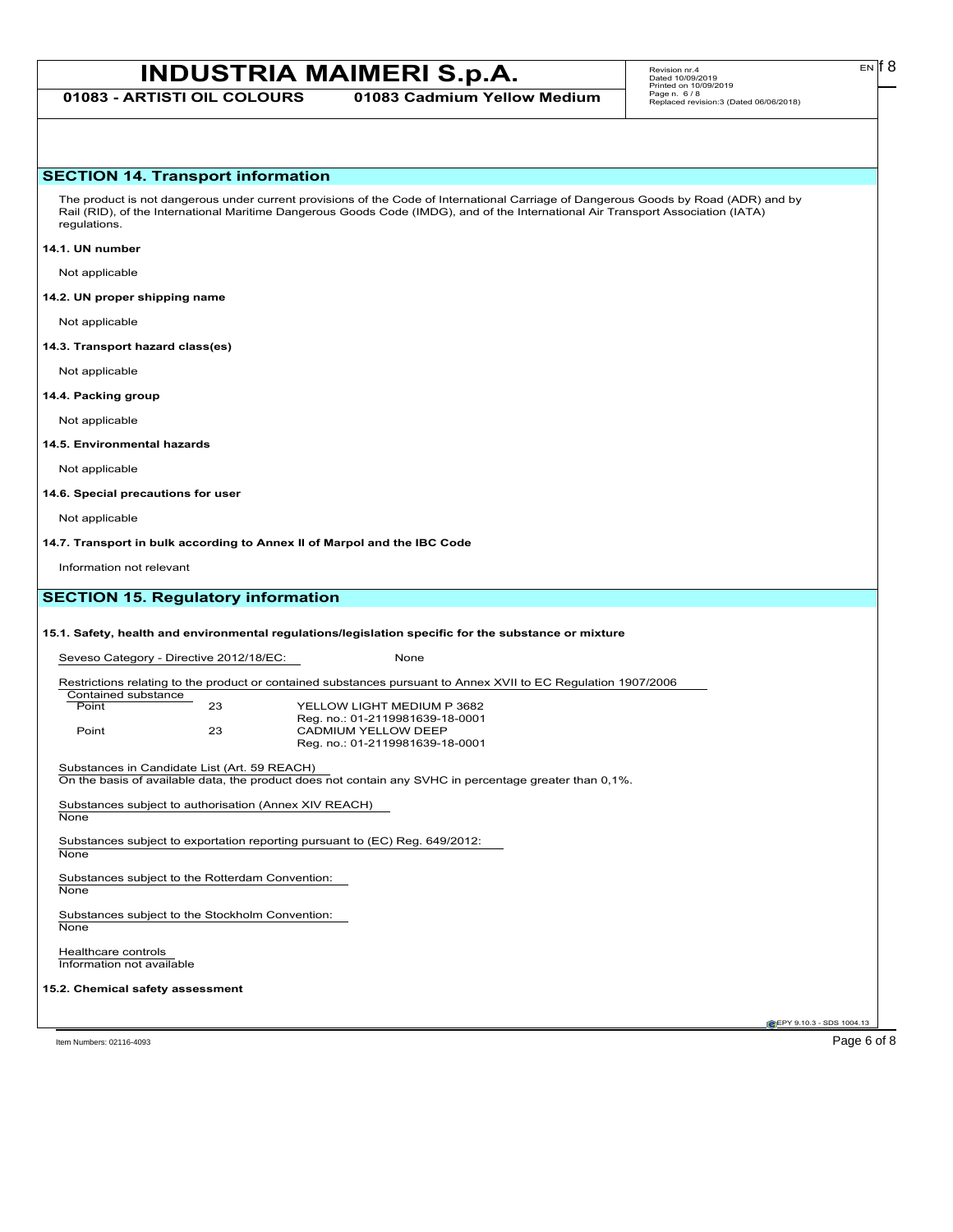# **INDUSTRIA MAIMERI S.p.A.** Revision m:4.<br> **INDUSTRIA MAIMERI S.p.A. EN**<sup>68</sup>

**01083 - ARTISTI OIL COLOURS 01083 Cadmium Yellow Medium**

# **SECTION 14. Transport information**

The product is not dangerous under current provisions of the Code of International Carriage of Dangerous Goods by Road (ADR) and by Rail (RID), of the International Maritime Dangerous Goods Code (IMDG), and of the International Air Transport Association (IATA) regulations.

#### **14.1. UN number**

Not applicable

## **14.2. UN proper shipping name**

Not applicable

**14.3. Transport hazard class(es)**

Not applicable

# **14.4. Packing group**

Not applicable

## **14.5. Environmental hazards**

Not applicable

#### **14.6. Special precautions for user**

Not applicable

**14.7. Transport in bulk according to Annex II of Marpol and the IBC Code**

Information not relevant

# **SECTION 15. Regulatory information**

# **15.1. Safety, health and environmental regulations/legislation specific for the substance or mixture**

Seveso Category - Directive 2012/18/EC: None

Restrictions relating to the product or contained substances pursuant to Annex XVII to EC Regulation 1907/2006

| Contained substance |    |                                 |
|---------------------|----|---------------------------------|
| Point               | 23 | YELLOW LIGHT MEDIUM P 3682      |
|                     |    | Reg. no.: 01-2119981639-18-0001 |
| Point               | 23 | CADMIUM YELLOW DEEP             |
|                     |    | Reg. no.: 01-2119981639-18-0001 |

Substances in Candidate List (Art. 59 REACH)

On the basis of available data, the product does not contain any SVHC in percentage greater than 0,1%.

Substances subject to authorisation (Annex XIV REACH) **None** 

Substances subject to exportation reporting pursuant to (EC) Reg. 649/2012: **None** 

Substances subject to the Rotterdam Convention:

**None** 

Substances subject to the Stockholm Convention: **None** 

Healthcare controls Information not available

### **15.2. Chemical safety assessment**

**EPY 9.10.3 - SDS 1004.13** 

Item Numbers: 02116-4093 Page 6 of 8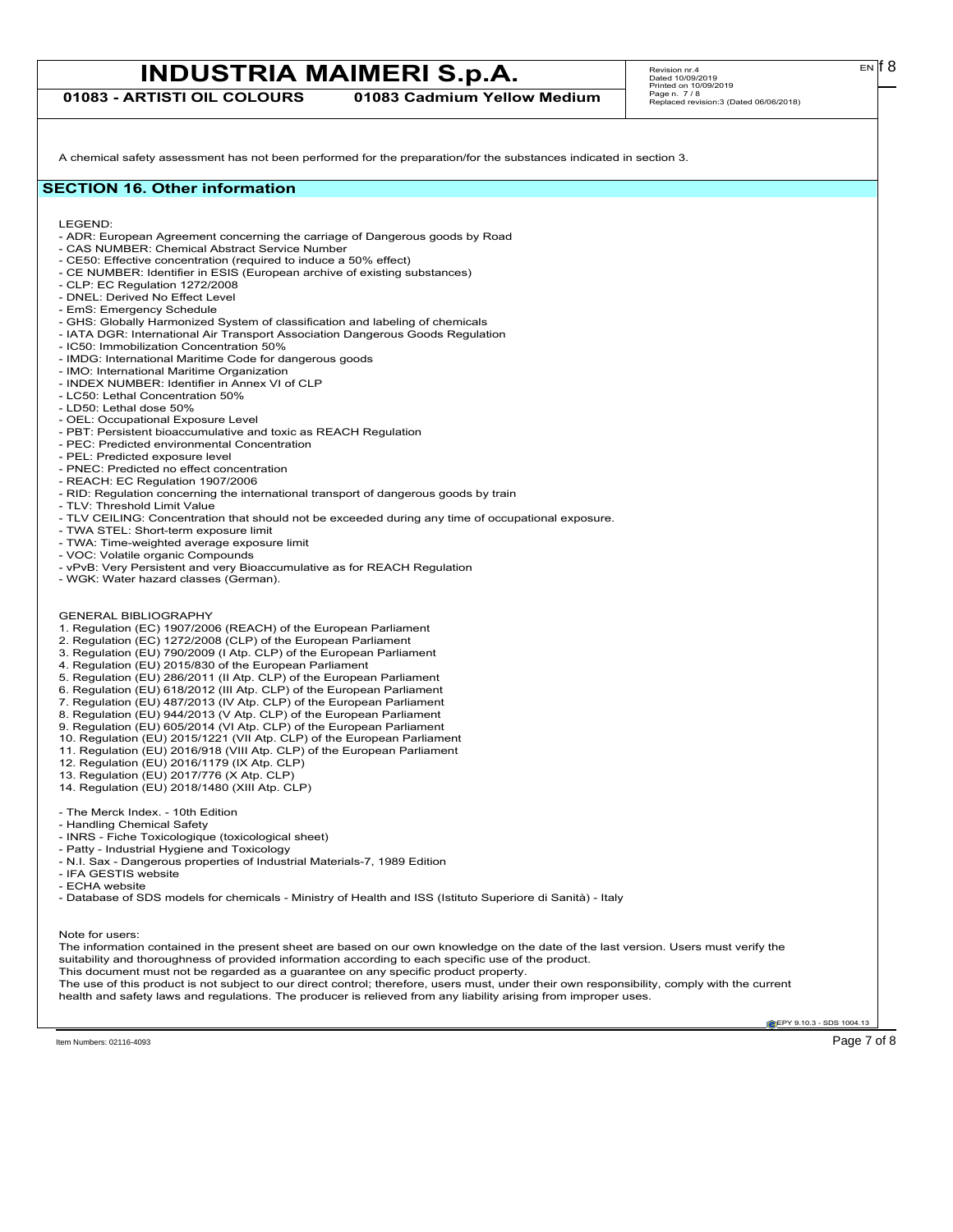# **INDUSTRIA MAIMERI S.p.A.** Revision m:4.<br>
Page 4 010992019

**01083 - ARTISTI OIL COLOURS 01083 Cadmium Yellow Medium**

A chemical safety assessment has not been performed for the preparation/for the substances indicated in section 3.

# **SECTION 16. Other information**

LEGEND:

- ADR: European Agreement concerning the carriage of Dangerous goods by Road
- CAS NUMBER: Chemical Abstract Service Number
- CE50: Effective concentration (required to induce a 50% effect)
- CE NUMBER: Identifier in ESIS (European archive of existing substances)
- CLP: EC Regulation 1272/2008
- DNEL: Derived No Effect Level
- EmS: Emergency Schedule
- GHS: Globally Harmonized System of classification and labeling of chemicals
- IATA DGR: International Air Transport Association Dangerous Goods Regulation - IC50: Immobilization Concentration 50%
- 
- IMDG: International Maritime Code for dangerous goods - IMO: International Maritime Organization
- INDEX NUMBER: Identifier in Annex VI of CLP
- LC50: Lethal Concentration 50%
- LD50: Lethal dose 50%
- OEL: Occupational Exposure Level
- PBT: Persistent bioaccumulative and toxic as REACH Regulation
- PEC: Predicted environmental Concentration
- PEL: Predicted exposure level
- PNEC: Predicted no effect concentration
- REACH: EC Regulation 1907/2006
- RID: Regulation concerning the international transport of dangerous goods by train
- TLV: Threshold Limit Value
- TLV CEILING: Concentration that should not be exceeded during any time of occupational exposure.
- TWA STEL: Short-term exposure limit
- TWA: Time-weighted average exposure limit
- VOC: Volatile organic Compounds
- vPvB: Very Persistent and very Bioaccumulative as for REACH Regulation
- WGK: Water hazard classes (German).
- GENERAL BIBLIOGRAPHY
- 1. Regulation (EC) 1907/2006 (REACH) of the European Parliament
- 2. Regulation (EC) 1272/2008 (CLP) of the European Parliament
- 3. Regulation (EU) 790/2009 (I Atp. CLP) of the European Parliament
- 4. Regulation (EU) 2015/830 of the European Parliament
- 5. Regulation (EU) 286/2011 (II Atp. CLP) of the European Parliament
- 6. Regulation (EU) 618/2012 (III Atp. CLP) of the European Parliament
- 7. Regulation (EU) 487/2013 (IV Atp. CLP) of the European Parliament
- 8. Regulation (EU) 944/2013 (V Atp. CLP) of the European Parliament
- 9. Regulation (EU) 605/2014 (VI Atp. CLP) of the European Parliament
- 10. Regulation (EU) 2015/1221 (VII Atp. CLP) of the European Parliament
- 11. Regulation (EU) 2016/918 (VIII Atp. CLP) of the European Parliament
- 12. Regulation (EU) 2016/1179 (IX Atp. CLP)
- 13. Regulation (EU) 2017/776 (X Atp. CLP)
- 14. Regulation (EU) 2018/1480 (XIII Atp. CLP)
- The Merck Index. 10th Edition
- Handling Chemical Safety
- INRS Fiche Toxicologique (toxicological sheet)
- Patty Industrial Hygiene and Toxicology
- N.I. Sax Dangerous properties of Industrial Materials-7, 1989 Edition
- IFA GESTIS website
- ECHA website

- Database of SDS models for chemicals - Ministry of Health and ISS (Istituto Superiore di Sanità) - Italy

## Note for users:

The information contained in the present sheet are based on our own knowledge on the date of the last version. Users must verify the suitability and thoroughness of provided information according to each specific use of the product. This document must not be regarded as a guarantee on any specific product property.

The use of this product is not subject to our direct control; therefore, users must, under their own responsibility, comply with the current health and safety laws and regulations. The producer is relieved from any liability arising from improper uses.

**EPY 9.10.3 - SDS 1004.13**